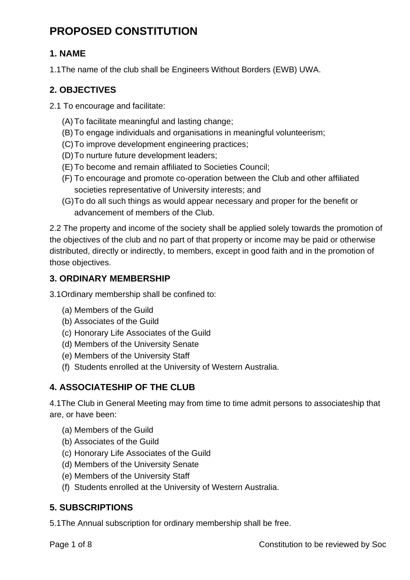# **PROPOSED CONSTITUTION**

# **1. NAME**

1.1The name of the club shall be Engineers Without Borders (EWB) UWA.

# **2. OBJECTIVES**

2.1 To encourage and facilitate:

- (A) To facilitate meaningful and lasting change;
- (B) To engage individuals and organisations in meaningful volunteerism;
- (C)To improve development engineering practices;
- (D)To nurture future development leaders;
- (E) To become and remain affiliated to Societies Council;
- (F) To encourage and promote co-operation between the Club and other affiliated societies representative of University interests; and
- (G)To do all such things as would appear necessary and proper for the benefit or advancement of members of the Club.

2.2 The property and income of the society shall be applied solely towards the promotion of the objectives of the club and no part of that property or income may be paid or otherwise distributed, directly or indirectly, to members, except in good faith and in the promotion of those objectives.

# **3. ORDINARY MEMBERSHIP**

3.1Ordinary membership shall be confined to:

- (a) Members of the Guild
- (b) Associates of the Guild
- (c) Honorary Life Associates of the Guild
- (d) Members of the University Senate
- (e) Members of the University Staff
- (f) Students enrolled at the University of Western Australia.

# **4. ASSOCIATESHIP OF THE CLUB**

4.1The Club in General Meeting may from time to time admit persons to associateship that are, or have been:

- (a) Members of the Guild
- (b) Associates of the Guild
- (c) Honorary Life Associates of the Guild
- (d) Members of the University Senate
- (e) Members of the University Staff
- (f) Students enrolled at the University of Western Australia.

# **5. SUBSCRIPTIONS**

5.1The Annual subscription for ordinary membership shall be free.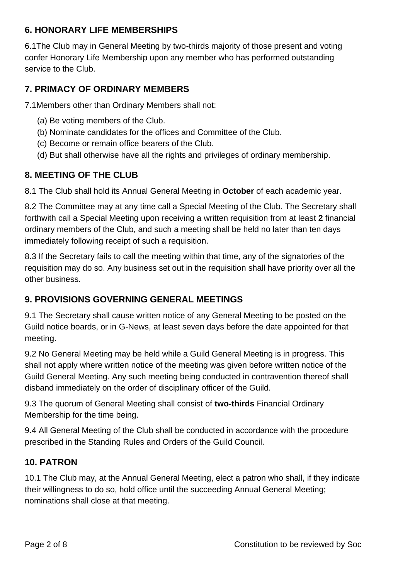#### **6. HONORARY LIFE MEMBERSHIPS**

6.1The Club may in General Meeting by two-thirds majority of those present and voting confer Honorary Life Membership upon any member who has performed outstanding service to the Club.

# **7. PRIMACY OF ORDINARY MEMBERS**

7.1Members other than Ordinary Members shall not:

- (a) Be voting members of the Club.
- (b) Nominate candidates for the offices and Committee of the Club.
- (c) Become or remain office bearers of the Club.
- (d) But shall otherwise have all the rights and privileges of ordinary membership.

#### **8. MEETING OF THE CLUB**

8.1 The Club shall hold its Annual General Meeting in **October** of each academic year.

8.2 The Committee may at any time call a Special Meeting of the Club. The Secretary shall forthwith call a Special Meeting upon receiving a written requisition from at least **2** financial ordinary members of the Club, and such a meeting shall be held no later than ten days immediately following receipt of such a requisition.

8.3 If the Secretary fails to call the meeting within that time, any of the signatories of the requisition may do so. Any business set out in the requisition shall have priority over all the other business.

#### **9. PROVISIONS GOVERNING GENERAL MEETINGS**

9.1 The Secretary shall cause written notice of any General Meeting to be posted on the Guild notice boards, or in G-News, at least seven days before the date appointed for that meeting.

9.2 No General Meeting may be held while a Guild General Meeting is in progress. This shall not apply where written notice of the meeting was given before written notice of the Guild General Meeting. Any such meeting being conducted in contravention thereof shall disband immediately on the order of disciplinary officer of the Guild.

9.3 The quorum of General Meeting shall consist of **two-thirds** Financial Ordinary Membership for the time being.

9.4 All General Meeting of the Club shall be conducted in accordance with the procedure prescribed in the Standing Rules and Orders of the Guild Council.

#### **10. PATRON**

10.1 The Club may, at the Annual General Meeting, elect a patron who shall, if they indicate their willingness to do so, hold office until the succeeding Annual General Meeting; nominations shall close at that meeting.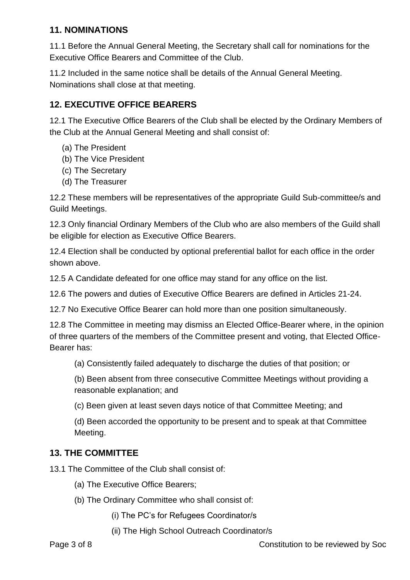#### **11. NOMINATIONS**

11.1 Before the Annual General Meeting, the Secretary shall call for nominations for the Executive Office Bearers and Committee of the Club.

11.2 Included in the same notice shall be details of the Annual General Meeting. Nominations shall close at that meeting.

# **12. EXECUTIVE OFFICE BEARERS**

12.1 The Executive Office Bearers of the Club shall be elected by the Ordinary Members of the Club at the Annual General Meeting and shall consist of:

- (a) The President
- (b) The Vice President
- (c) The Secretary
- (d) The Treasurer

12.2 These members will be representatives of the appropriate Guild Sub-committee/s and Guild Meetings.

12.3 Only financial Ordinary Members of the Club who are also members of the Guild shall be eligible for election as Executive Office Bearers.

12.4 Election shall be conducted by optional preferential ballot for each office in the order shown above.

12.5 A Candidate defeated for one office may stand for any office on the list.

12.6 The powers and duties of Executive Office Bearers are defined in Articles 21-24.

12.7 No Executive Office Bearer can hold more than one position simultaneously.

12.8 The Committee in meeting may dismiss an Elected Office-Bearer where, in the opinion of three quarters of the members of the Committee present and voting, that Elected Office-Bearer has:

(a) Consistently failed adequately to discharge the duties of that position; or

(b) Been absent from three consecutive Committee Meetings without providing a reasonable explanation; and

(c) Been given at least seven days notice of that Committee Meeting; and

(d) Been accorded the opportunity to be present and to speak at that Committee Meeting.

#### **13. THE COMMITTEE**

13.1 The Committee of the Club shall consist of:

- (a) The Executive Office Bearers;
- (b) The Ordinary Committee who shall consist of:
	- (i) The PC's for Refugees Coordinator/s
	- (ii) The High School Outreach Coordinator/s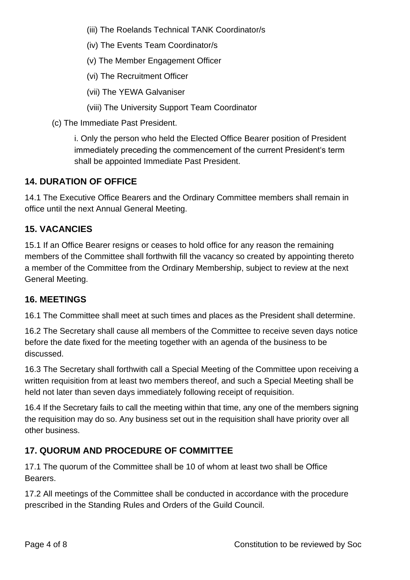(iii) The Roelands Technical TANK Coordinator/s

(iv) The Events Team Coordinator/s

(v) The Member Engagement Officer

(vi) The Recruitment Officer

(vii) The YEWA Galvaniser

(viii) The University Support Team Coordinator

(c) The Immediate Past President.

i. Only the person who held the Elected Office Bearer position of President immediately preceding the commencement of the current President's term shall be appointed Immediate Past President.

#### **14. DURATION OF OFFICE**

14.1 The Executive Office Bearers and the Ordinary Committee members shall remain in office until the next Annual General Meeting.

#### **15. VACANCIES**

15.1 If an Office Bearer resigns or ceases to hold office for any reason the remaining members of the Committee shall forthwith fill the vacancy so created by appointing thereto a member of the Committee from the Ordinary Membership, subject to review at the next General Meeting.

#### **16. MEETINGS**

16.1 The Committee shall meet at such times and places as the President shall determine.

16.2 The Secretary shall cause all members of the Committee to receive seven days notice before the date fixed for the meeting together with an agenda of the business to be discussed.

16.3 The Secretary shall forthwith call a Special Meeting of the Committee upon receiving a written requisition from at least two members thereof, and such a Special Meeting shall be held not later than seven days immediately following receipt of requisition.

16.4 If the Secretary fails to call the meeting within that time, any one of the members signing the requisition may do so. Any business set out in the requisition shall have priority over all other business.

# **17. QUORUM AND PROCEDURE OF COMMITTEE**

17.1 The quorum of the Committee shall be 10 of whom at least two shall be Office Bearers.

17.2 All meetings of the Committee shall be conducted in accordance with the procedure prescribed in the Standing Rules and Orders of the Guild Council.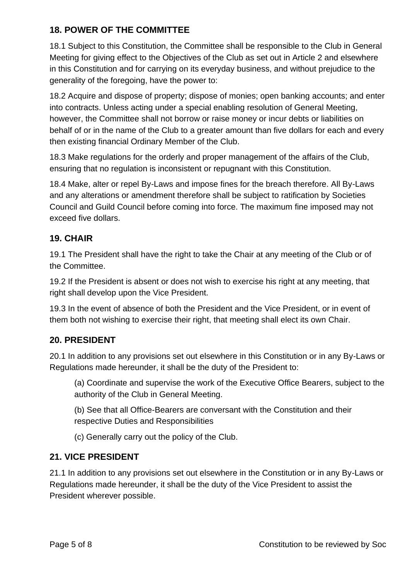#### **18. POWER OF THE COMMITTEE**

18.1 Subject to this Constitution, the Committee shall be responsible to the Club in General Meeting for giving effect to the Objectives of the Club as set out in Article 2 and elsewhere in this Constitution and for carrying on its everyday business, and without prejudice to the generality of the foregoing, have the power to:

18.2 Acquire and dispose of property; dispose of monies; open banking accounts; and enter into contracts. Unless acting under a special enabling resolution of General Meeting, however, the Committee shall not borrow or raise money or incur debts or liabilities on behalf of or in the name of the Club to a greater amount than five dollars for each and every then existing financial Ordinary Member of the Club.

18.3 Make regulations for the orderly and proper management of the affairs of the Club, ensuring that no regulation is inconsistent or repugnant with this Constitution.

18.4 Make, alter or repel By-Laws and impose fines for the breach therefore. All By-Laws and any alterations or amendment therefore shall be subject to ratification by Societies Council and Guild Council before coming into force. The maximum fine imposed may not exceed five dollars.

#### **19. CHAIR**

19.1 The President shall have the right to take the Chair at any meeting of the Club or of the Committee.

19.2 If the President is absent or does not wish to exercise his right at any meeting, that right shall develop upon the Vice President.

19.3 In the event of absence of both the President and the Vice President, or in event of them both not wishing to exercise their right, that meeting shall elect its own Chair.

#### **20. PRESIDENT**

20.1 In addition to any provisions set out elsewhere in this Constitution or in any By-Laws or Regulations made hereunder, it shall be the duty of the President to:

(a) Coordinate and supervise the work of the Executive Office Bearers, subject to the authority of the Club in General Meeting.

(b) See that all Office-Bearers are conversant with the Constitution and their respective Duties and Responsibilities

(c) Generally carry out the policy of the Club.

#### **21. VICE PRESIDENT**

21.1 In addition to any provisions set out elsewhere in the Constitution or in any By-Laws or Regulations made hereunder, it shall be the duty of the Vice President to assist the President wherever possible.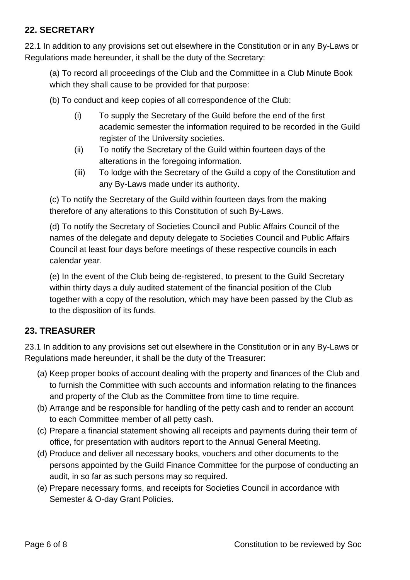#### **22. SECRETARY**

22.1 In addition to any provisions set out elsewhere in the Constitution or in any By-Laws or Regulations made hereunder, it shall be the duty of the Secretary:

(a) To record all proceedings of the Club and the Committee in a Club Minute Book which they shall cause to be provided for that purpose:

- (b) To conduct and keep copies of all correspondence of the Club:
	- (i) To supply the Secretary of the Guild before the end of the first academic semester the information required to be recorded in the Guild register of the University societies.
	- (ii) To notify the Secretary of the Guild within fourteen days of the alterations in the foregoing information.
	- (iii) To lodge with the Secretary of the Guild a copy of the Constitution and any By-Laws made under its authority.

(c) To notify the Secretary of the Guild within fourteen days from the making therefore of any alterations to this Constitution of such By-Laws.

(d) To notify the Secretary of Societies Council and Public Affairs Council of the names of the delegate and deputy delegate to Societies Council and Public Affairs Council at least four days before meetings of these respective councils in each calendar year.

(e) In the event of the Club being de-registered, to present to the Guild Secretary within thirty days a duly audited statement of the financial position of the Club together with a copy of the resolution, which may have been passed by the Club as to the disposition of its funds.

# **23. TREASURER**

23.1 In addition to any provisions set out elsewhere in the Constitution or in any By-Laws or Regulations made hereunder, it shall be the duty of the Treasurer:

- (a) Keep proper books of account dealing with the property and finances of the Club and to furnish the Committee with such accounts and information relating to the finances and property of the Club as the Committee from time to time require.
- (b) Arrange and be responsible for handling of the petty cash and to render an account to each Committee member of all petty cash.
- (c) Prepare a financial statement showing all receipts and payments during their term of office, for presentation with auditors report to the Annual General Meeting.
- (d) Produce and deliver all necessary books, vouchers and other documents to the persons appointed by the Guild Finance Committee for the purpose of conducting an audit, in so far as such persons may so required.
- (e) Prepare necessary forms, and receipts for Societies Council in accordance with Semester & O-day Grant Policies.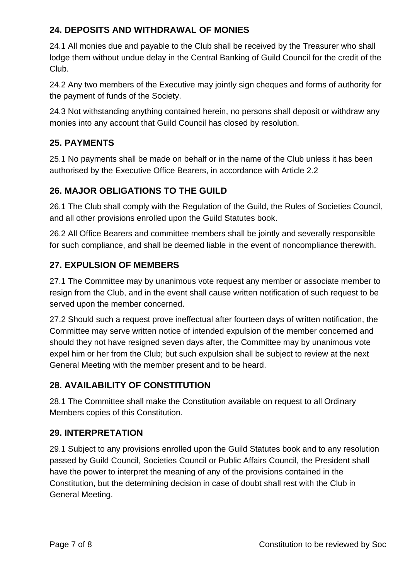# **24. DEPOSITS AND WITHDRAWAL OF MONIES**

24.1 All monies due and payable to the Club shall be received by the Treasurer who shall lodge them without undue delay in the Central Banking of Guild Council for the credit of the Club.

24.2 Any two members of the Executive may jointly sign cheques and forms of authority for the payment of funds of the Society.

24.3 Not withstanding anything contained herein, no persons shall deposit or withdraw any monies into any account that Guild Council has closed by resolution.

# **25. PAYMENTS**

25.1 No payments shall be made on behalf or in the name of the Club unless it has been authorised by the Executive Office Bearers, in accordance with Article 2.2

#### **26. MAJOR OBLIGATIONS TO THE GUILD**

26.1 The Club shall comply with the Regulation of the Guild, the Rules of Societies Council, and all other provisions enrolled upon the Guild Statutes book.

26.2 All Office Bearers and committee members shall be jointly and severally responsible for such compliance, and shall be deemed liable in the event of noncompliance therewith.

#### **27. EXPULSION OF MEMBERS**

27.1 The Committee may by unanimous vote request any member or associate member to resign from the Club, and in the event shall cause written notification of such request to be served upon the member concerned.

27.2 Should such a request prove ineffectual after fourteen days of written notification, the Committee may serve written notice of intended expulsion of the member concerned and should they not have resigned seven days after, the Committee may by unanimous vote expel him or her from the Club; but such expulsion shall be subject to review at the next General Meeting with the member present and to be heard.

# **28. AVAILABILITY OF CONSTITUTION**

28.1 The Committee shall make the Constitution available on request to all Ordinary Members copies of this Constitution.

#### **29. INTERPRETATION**

29.1 Subject to any provisions enrolled upon the Guild Statutes book and to any resolution passed by Guild Council, Societies Council or Public Affairs Council, the President shall have the power to interpret the meaning of any of the provisions contained in the Constitution, but the determining decision in case of doubt shall rest with the Club in General Meeting.